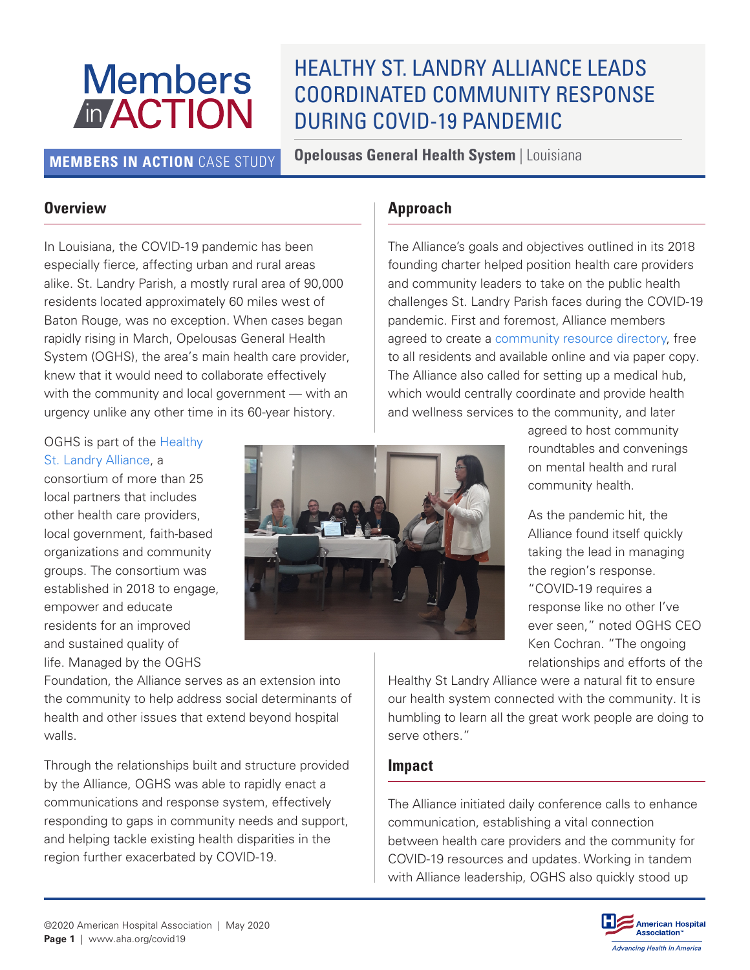# **Members** *In* ACTION

## HEALTHY ST. LANDRY ALLIANCE LEADS COORDINATED COMMUNITY RESPONSE DURING COVID-19 PANDEMIC

**MEMBERS IN ACTION** CASE STUDY **Opelousas General Health System** | Louisiana

#### **Overview**

In Louisiana, the COVID-19 pandemic has been especially fierce, affecting urban and rural areas alike. St. Landry Parish, a mostly rural area of 90,000 residents located approximately 60 miles west of Baton Rouge, was no exception. When cases began rapidly rising in March, Opelousas General Health System (OGHS), the area's main health care provider, knew that it would need to collaborate effectively with the community and local government — with an urgency unlike any other time in its 60-year history.

### **Approach**

The Alliance's goals and objectives outlined in its 2018 founding charter helped position health care providers and community leaders to take on the public health challenges St. Landry Parish faces during the COVID-19 pandemic. First and foremost, Alliance members agreed to create a [community resource directory](https://www.opelousasgeneral.com/oghs-foundation/the-healthy-st-landry-alliance/resource-directory/), free to all residents and available online and via paper copy. The Alliance also called for setting up a medical hub, which would centrally coordinate and provide health and wellness services to the community, and later

#### OGHS is part of the [Healthy](https://www.opelousasgeneral.com/oghs-foundation/the-healthy-st-landry-alliance/)  [St. Landry Alliance,](https://www.opelousasgeneral.com/oghs-foundation/the-healthy-st-landry-alliance/) a

consortium of more than 25 local partners that includes other health care providers, local government, faith-based organizations and community groups. The consortium was established in 2018 to engage, empower and educate residents for an improved and sustained quality of life. Managed by the OGHS



Foundation, the Alliance serves as an extension into the community to help address social determinants of health and other issues that extend beyond hospital walls.

Through the relationships built and structure provided by the Alliance, OGHS was able to rapidly enact a communications and response system, effectively responding to gaps in community needs and support, and helping tackle existing health disparities in the region further exacerbated by COVID-19.

agreed to host community roundtables and convenings on mental health and rural community health.

As the pandemic hit, the Alliance found itself quickly taking the lead in managing the region's response. "COVID-19 requires a response like no other I've ever seen," noted OGHS CEO Ken Cochran. "The ongoing relationships and efforts of the

Healthy St Landry Alliance were a natural fit to ensure our health system connected with the community. It is humbling to learn all the great work people are doing to serve others."

#### **Impact**

The Alliance initiated daily conference calls to enhance communication, establishing a vital connection between health care providers and the community for COVID-19 resources and updates. Working in tandem with Alliance leadership, OGHS also quickly stood up